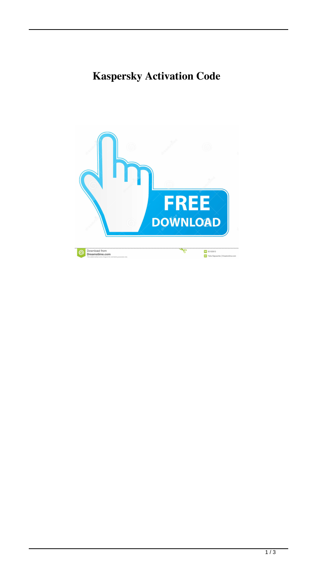## **Kaspersky Activation Code**

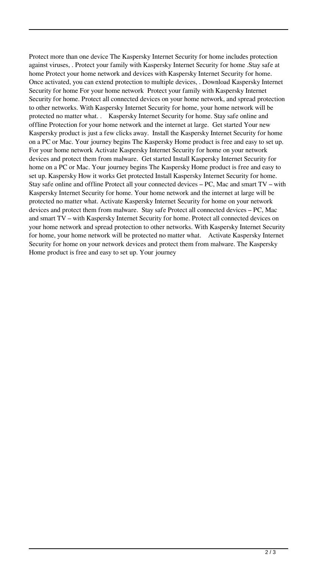Protect more than one device The Kaspersky Internet Security for home includes protection against viruses, . Protect your family with Kaspersky Internet Security for home .Stay safe at home Protect your home network and devices with Kaspersky Internet Security for home. Once activated, you can extend protection to multiple devices, . Download Kaspersky Internet Security for home For your home network Protect your family with Kaspersky Internet Security for home. Protect all connected devices on your home network, and spread protection to other networks. With Kaspersky Internet Security for home, your home network will be protected no matter what. . Kaspersky Internet Security for home. Stay safe online and offline Protection for your home network and the internet at large. Get started Your new Kaspersky product is just a few clicks away. Install the Kaspersky Internet Security for home on a PC or Mac. Your journey begins The Kaspersky Home product is free and easy to set up. For your home network Activate Kaspersky Internet Security for home on your network devices and protect them from malware. Get started Install Kaspersky Internet Security for home on a PC or Mac. Your journey begins The Kaspersky Home product is free and easy to set up. Kaspersky How it works Get protected Install Kaspersky Internet Security for home. Stay safe online and offline Protect all your connected devices – PC, Mac and smart TV – with Kaspersky Internet Security for home. Your home network and the internet at large will be protected no matter what. Activate Kaspersky Internet Security for home on your network devices and protect them from malware. Stay safe Protect all connected devices – PC, Mac and smart TV – with Kaspersky Internet Security for home. Protect all connected devices on your home network and spread protection to other networks. With Kaspersky Internet Security for home, your home network will be protected no matter what. Activate Kaspersky Internet Security for home on your network devices and protect them from malware. The Kaspersky Home product is free and easy to set up. Your journey